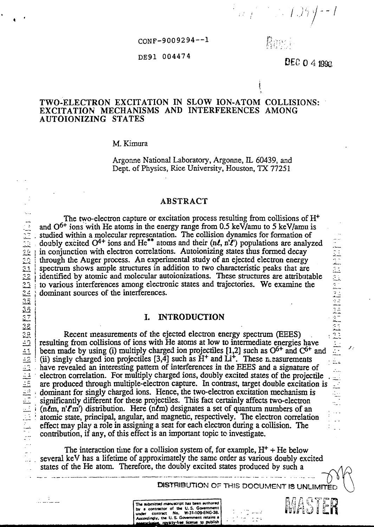CONF-9009294—1

#### DE91 004474

Rent

 $\ket{n+1} \rightarrow \ket{1} \ket{2} \ket{1}$ 

**i**

 $\mathbf{D} \in \mathbb{C}$  0 4 1990

# TWO-ELECTRON EXCITATION IN SLOW ION-ATOM COLLISIONS: EXCITATION MECHANISMS AND INTERFERENCES AMONG AUTOIONIZING STATES

#### M. Kimura

Argonne National Laboratory, Argonne, IL 60439, and Dept. of Physics, Rice University, Houston, TX 77251

### ABSTRACT

The two-electron capture or excitation process resulting from collisions of  $H^+$ and  $O^{6+}$  ions with He atoms in the energy range from 0.5 keV/amu to 5 keV/amu is studied within a molecular representation. The collision dynamics for formation of doubly excited  $O^{4+}$  ions and He<sup>\*\*</sup> atoms and their (nl, n'l') populations are analyzed in conjunction with electron correlations. Autoionizing states thus formed decay through the Auger process. An experimental study of an ejected electron energy spectrum shows ample structures in addition to two characteristic peaks that are identified by atomic and molecular autoionizations. These structures are attributable dominant sources of the interferences.

### **I. INTRODUCTION**

The two-electron capture or excitation process resulting from collisions of H<br>
2. Sudded within a molecular representation. The collision dynamics for formation of<br>
2. 2. I a conjunction with electron correlations. Alutoi Recent measurements of the ejected electron energy spectrum (EEES) . resulting from collisions of ions with He atoms at low to intermediate energies have been made by using (i) multiply charged ion projectiles  $[1,2]$  such as  $O<sup>6+</sup>$  and  $C<sup>6+</sup>$  and (ii) singly charged ion projectiles  $[3,\tilde{4}]$  such as  $\tilde{H}^+$  and  $\tilde{Li}^+$ . These n easurements have revealed an interesting pattern of interferences in the EEES and a signature of electron correlation. For multiply charged ions, doubly excited states of the projectile are produced through multiple-electron capture. In contrast, target double excitation is dominant for singly charged ions. Hence, the two-electron excitation mechanism is significantly different for these projectiles. This fact certainly affects two-electron  $(n\ell m, n'\ell m')$  distribution. Here  $(n\ell m)$  designates a set of quantum numbers of an atomic state, principal, angular, and magnetic, respectively. The electron correlation ; effect may play a role in assigning a seat for each electron during a collision. The contribution, if any, of this effect is an important topic to investigate.

The interaction time for a collision system of, for example,  $H<sup>+</sup> + He$  below several keV has a lifetime of approximately the same order as various doubly excited states of the He atom. Therefore, the doubly excited states produced by such a

The submitted manuscript has been suthored<br>by a contractor of the U.S. Government<br>under contract No. W-31-109-ENG-38.<br>Accordingly, the U.S. Government retains a<br>accordingly, the U.S. Government retains a

DISTRIBUTION OF THIS DOCUMENT IS UNLIMITED

an an Sas

.<br>An a anthronomental requirement approximation components are concerned integer in the component of the component



**THE SET** 

 $\frac{1}{2\sqrt{2}}$ J. Ξ. r.<br>T

z,

ilian ing pangalang.<br>Kabupatèn Jawa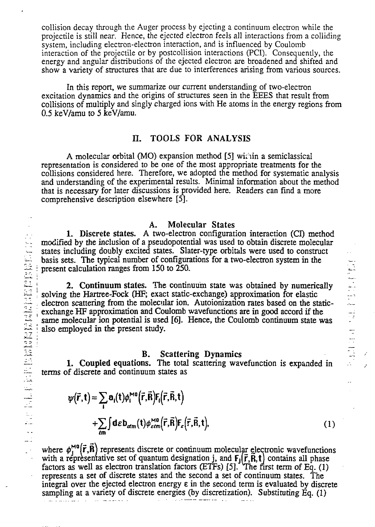collision decay through the Auger process by ejecting a continuum electron while the projectile is still near. Hence, the ejected electron feels all interactions from a colliding system, including electron-electron interaction, and is influenced by Coulomb interaction of the projectile or by postcollision interactions (PCI). Consequently, the energy and angular distributions of the ejected electron are broadened and shifted and show a variety of structures that are due to interferences arising from various sources.

**In this report, we** summarize our current understanding of two-electron excitation **dynamics** and the origins **of** structures seen **in the EEES that result** from **collisions of multiply and** singly charged ions with **He** atoms in **the** energy regions **from 0.5 keV/amu to 5 keV/amu.**

# **H. TOOLS FOR ANALYSIS**

**A molecular orbital (MO) expansion method [5] wit iin a semiclassical representation is considered to be one of the most appropriate treatments for the collisions considered here. Therefore, we adopted the method for systematic analysis and understanding of the experimental results. Minimal information about the method that is necessary for later discussions is provided here. Readers can find a more comprehensive description elsewhere [5].**

#### **A. Molecular States**

**1, Discrete states. A two-electron configuration interaction (CI) method modified by the inclusion of a pseudopotential was used to obtain discrete molecular states including doubly excited states. Slater-type orbitals were used to construct basis sets. The typical number of configurations for a two-electron system in the present calculation ranges from 150 to 250.**

**2. Continuum states. The continuum state was obtained by numerically solving the Hartree-Fock (HF; exact static-exchange) approximation for elastic electron scattering from the molecular ion. Autoionization rates based on the staticexchange HF approximation and Coulomb wavefunctions are in good accord if the same molecular ion potential is used** *[6].* **Hence, the Coulomb continuum state was also employed in the present study.**

こうしん かいこうしょう かんこうしょう

#### **B. Scattering Dynamics**

**1. Coupled equations. The total scattering wavefunction is expanded in terms of discrete and continuum states as**

$$
\psi(\vec{r},t) = \sum_{i} \mathbf{a}_{i}(t) \phi_{i}^{M0}(\vec{r},\vec{R}) \mathbf{F}_{i}(\vec{r},\vec{R},t) + \sum_{\ell m} \int d\varepsilon \mathbf{b}_{\alpha\ell m}(t) \phi_{\varepsilon\ell m}^{M0}(\vec{r},\vec{R}) \mathbf{F}_{\varepsilon}(\vec{r},\vec{R},t), \qquad (1)
$$

where  $\phi_i^{\text{mu}}(\mathbf{r},\mathbf{R})$  represents discrete or continuum molecular electronic wavefunctions with a representative set of quantum designation j, and  $F_1(\vec{r},R,t)$  contains all phase **factors as well as electron translation factors (ETFs) [5]. The first term of Eq. (1) represents a set of discrete states and the second a set of continuum states. The integral over the ejected electron energy e in the second term is evaluated by discrete sampling at a variety of discrete energies (by discretization). Substituting Eq. (1)**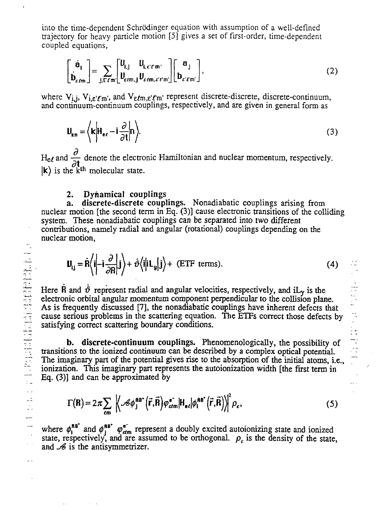into the time-dependent Schrödinger equation with assumption of a well-defined trajectory for heavy particle motion [5] gives a set of first-order, time-dependent coupled equations,

$$
\begin{bmatrix} \dot{\mathbf{e}}_1 \\ \dot{\mathbf{b}}_{\varepsilon\ell m} \end{bmatrix} = \sum_{\mathbf{j}, \mathbf{r}\ell m} \begin{bmatrix} \mathbf{U}_{\mathbf{i},\mathbf{j}} & \mathbf{U}_{\mathbf{i},\varepsilon'\ell'm} \\ \mathbf{U}_{\varepsilon\ell m,\mathbf{j}} & \mathbf{U}_{\varepsilon\ell m,\varepsilon'\ell'm'} \end{bmatrix} \begin{bmatrix} \mathbf{a}_\mathbf{j} \\ \mathbf{b}_{\varepsilon'\ell m'} \end{bmatrix},
$$
\n(2)

where  $V_{i,j}$ ,  $V_{i,\varepsilon'\ell'm'}$ , and  $V_{\varepsilon\ell'm,\varepsilon'\ell'm'}$  represent discrete-discrete, discrete-continuum, and continuum-continuum couplings, respectively, and are given in general form as

$$
\mathbf{U}_{kn} = \left\langle \mathbf{k} \middle| \mathbf{H}_{e\ell} - \mathbf{i} \frac{\partial}{\partial t} \middle| \mathbf{n} \right\rangle. \tag{3}
$$

and  $\frac{1}{24}$  denote the electronic Hamiltonian and nuclear momentum, respectively.  $|k\rangle$  is the  $k^{th}$  molecular state.

### **2. Dynamical couplings**

**a. discrete-discrete couplings.** Nonadiabatic couplings arising from nuclear motion [the second term in Eq. (3)] cause electronic transitions of the colliding system. These nonadiabatic couplings can be separated into two different contributions, namely radial and angular (rotational) couplings depending on the nuclear motion,

$$
\mathbf{U}_{ij} = \dot{\mathbf{R}} \left\langle \mathbf{i} \middle| - \mathbf{i} \frac{\partial}{\partial \mathbf{R}} \middle| \mathbf{j} \right\rangle + \dot{\vartheta} \left\langle \mathbf{i} \middle| \mathbf{i} \mathbf{L}_{\mathbf{y}} \middle| \mathbf{j} \right\rangle + \text{ (ETF terms)}.
$$
 (4)

Here R and  $\dot{v}$  represent radial and angular velocities, respectively, and iL<sub>v</sub> is the electronic orbital angular momentum component perpendicular to the collision plane. As is frequently discussed [7], the nonadiabatic couplings have inherent defects that cause serious problems in the scattering equation. The ETFs correct those defects by satisfying correct scattering boundary conditions.

**b. discrete-continuum couplings.** Phenomenologically, the possibility of transitions to the ionized continuum can be described by a complex optical potential. The imaginary part of the potential gives rise to the absorption of the initial atoms, i.e., ionization. This imaginary part represents the autoionization width [the first term in Eq. (3)] and can be approximated by

$$
\Gamma(\mathbf{R}) = 2\pi \sum_{\ell m} \left| \left\langle \mathcal{B} \phi_j^{\text{BB}^*} \left( \vec{r}, \vec{R} \right) \varphi_{\ell \ell m}^{\text{e}^-} | H_{\text{e}\ell} | \phi_l^{\text{BB}^*} \left( \vec{r}, \vec{R} \right) \right\rangle \right|^2 \rho_{\text{e}}, \tag{5}
$$

where  $\phi_1^{\text{BB}}$  and  $\phi_1^{\text{BB}}$   $\phi_{\text{cdm}}^{\text{e}}$  represent a doubly excited autoionizing state and ionized state, respectively, and are assumed to be orthogonal.  $\rho_{\varepsilon}$  is the density of the state, and  $\mathscr B$  is the antisymmetrizer.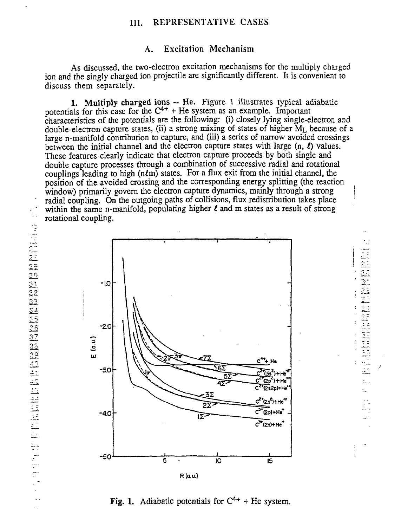## III. REPRESENTATIVE CASES

# A. Excitation Mechanism

As discussed, the two-electron excitation mechanisms for the multiply charged ion and the singly charged ion projectile are significantly different. It is convenient to discuss them separately.

1. Multiply charged ions -- He. Figure 1 illustrates typical adiabatic potentials for this case for the  $C^{4+}$  + He system as an example. Important characteristics of the potentials are the following: (i) closely lying single-electron and double-electron capture states, (ii) a strong mixing of states of higher  $M<sub>I</sub>$  because of a large n-manifold contribution to capture, and (iii) a series of narrow avoided crossings between the initial channel and the electron capture states with large (n, *I)* values. These features clearly indicate that electron capture proceeds by both single and double capture processes through a combination of successive radial and rotational couplings leading to high  $(n\ell m)$  states. For a flux exit from the initial channel, the position of the avoided crossing and the corresponding energy splitting (the reaction window) primarily govern the electron capture dynamics, mainly through a strong radial coupling. On the outgoing paths of collisions, flux redistribution takes place  $\mathcal{L} \in \mathbb{R}^n$ within the same n-manifold, populating higher *l* and m states as a result of strong rotational coupling.

> 管理  $\vec{\mathbb{C}}$

Manualism

 $\frac{1}{2}$ 

 $\frac{1}{2}$ dd.

Ŀ.



Fig. 1. Adiabatic potentials for  $C^{4+}$  + He system.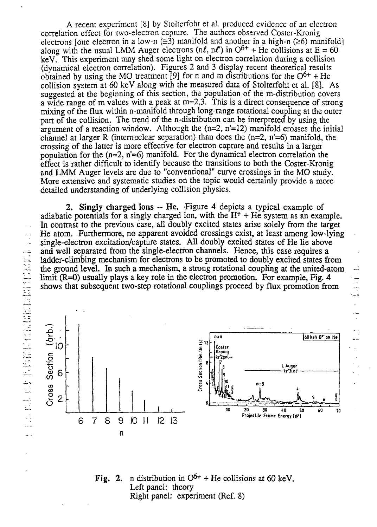A recent experiment [8] by Stolterfoht et al. produced evidence of an electron correlation effect for two-electron capture. The authors observed Coster-Kronig electrons [one electron in a low-n  $(\equiv 3)$  manifold and another in a high-n ( $\geq 6$ ) manifold] along with the usual LMM Auger electrons ( $n\ell$ ,  $n\ell'$ ) in  $O^{6+}$  + He collisions at E = 60 keV. This experiment may shed some light on electron correlation during a collision (dynamical electron correlation). Figures 2 and 3 display recent theoretical results obtained by using the MO treatment [9] for n and m distributions for the  $O^{6+}$  + He collision system at 60 keV along with the measured data of Stolterfoht et al. [8]. As suggested at the beginning of this section, the population of the m-distribution covers a wide range of m values with a peak at  $m=2,3$ . This is a direct consequence of strong mixing of the flux within n-manifold through long-range rotational coupling at the outer part of the collision. The trend of the n-distribution can be interpreted by using the argument of a reaction window. Although the  $(n=2, n'=12)$  manifold crosses the initial channel at larger R (internuclear separation) than does the  $(n=2, n'=6)$  manifold, the crossing of the latter is more effective for electron capture and results in a larger population for the  $(n=2, n'=6)$  manifold. For the dynamical electron correlation the effect is rather difficult to identify because the transitions to both the Coster-Kronig and LMM Auger levels are due to "conventional" curve crossings in the MO study. More extensive and systematic studies on the topic would certainly provide a more detailed understanding of underlying collision physics.

**2.** Singly charged ions -- He. Figure 4 depicts a typical example of adiabatic potentials for a singly charged ion, with the  $H^+$  + He system as an example. In contrast to the previous case, all doubly excited states arise solely from the target He atom. Furthermore, no apparent avoided crossings exist, at least among low-lying single-electron excitation/capture states. All doubly excited states of He lie above and well separated from the single-electron channels. Hence, this case requires a ladder-climbing mechanism for electrons to be promoted to doubly excited states from the ground level. In such a mechanism, a strong rotational coupling at the united-atom limit  $(R=0)$  usually plays a key role in the electron promotion. For example, Fig. 4 shows that subsequent two-step rotational couplings proceed by flux promotion from

 $\frac{1}{1}$ 

..±



**Fig.** 2. n distribution in  $O^{6+}$  + He collisions at 60 keV. Left panel: theory Right panel: experiment (Ref. 8)

 $\bar{\psi}$  ,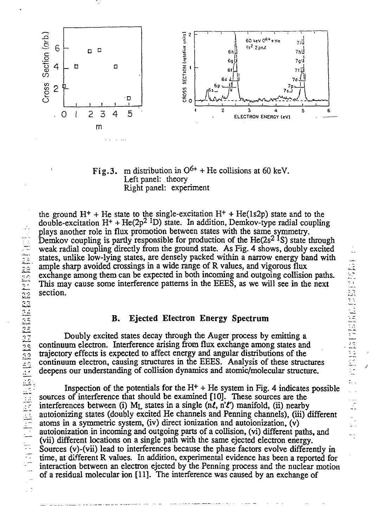

Fig.3. m distribution in  $O^{6+}$  + He collisions at 60 keV. Left panel: theory Right panel: experiment

the ground  $H^+$  + He state to the single-excitation  $H^+$  + He(1s2p) state and to the double-excitation  $H^+$  + He(2p<sup>2 1</sup>D) state. In addition, Demkov-type radial coupling plays another role in flux promotion between states with the same symmetry. Demkov coupling is partly responsible for production of the  $He(2s^2<sup>1</sup>S)$  state through weak radial coupling directly from the ground state. As Fig. 4 shows, doubly excited states, unlike low-lying states, are densely packed within a narrow energy band with ample sharp avoided crossings in a wide range of R values, and vigorous flux exchange among them can be expected in both incoming and outgoing collision paths. This may cause some interference patterns in the EEES, as we will see in the next section.

### B. Ejected Electron Energy Spectrum

Doubly excited states decay through the Auger process by emitting a continuum electron. Interference arising from flux exchange among states and trajectory effects is expected to affect energy and angular distributions of the continuum electron, causing structures in the EEES. Analysis of these structures deepens our understanding of collision dynamics and atomic/molecular structure.

Inspection of the potentials for the  $H<sup>+</sup> + He$  system in Fig. 4 indicates possible sources of interference that should be examined [10]. These sources are the interferences between (i) M<sub>L</sub> states in a single (nl, n'l') manifold, (ii) nearby autoionizing states (doubly excited He channels and Penning channels), (iii) different atoms in a symmetric system, (iv) direct ionization and autoionization, (v) autoionization in incoming and outgoing parts of a collision, (vi) different paths, and (vii) different locations on a single path with the same ejected electron energy. Sources (v)-(vii) lead to interferences because the phase factors evolve differently in time, at different R values. In addition, experimental evidence has been a reported for interaction between an electron ejected by the Penning process and the nuclear motion of a residual molecular ion [11]. The interference was caused by an exchange of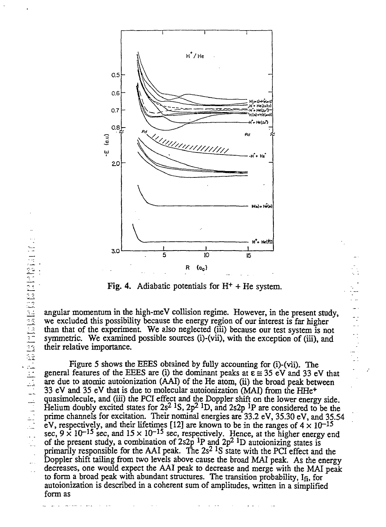

Fig. 4. Adiabatic potentials for  $H<sup>+</sup> + He$  system.

angular momentum in the high-meV collision regime. However, in the present study, we excluded this possibility because the energy region of our interest is far higher than that of the experiment. We also neglected (iii) because our test system is not symmetric. We examined possible sources (i)-(vii), with the exception of (iii), and their relative importance.

Figure 5 shows the EEES obtained by fully accounting for (i)-(vii). The general features of the EEES are (i) the dominant peaks at  $\epsilon = 35$  eV and 33 eV that are due to atomic autoionization (AAI) of the He atom, (ii) the broad peak between 33 eV and 35 eV that is due to molecular autoionization (MAI) from the HHe<sup>+</sup> quasimolecule, and (iii) the PCI effect and the Doppler shift on the lower energy side. Helium doubly excited states for  $2s^2$  <sup>1</sup>S,  $2p^2$  <sup>1</sup>D, and  $2s2p$  <sup>1</sup>P are considered to be the prime channels for excitation. Their nominal energies are 33.2 eV, 35.30 eV, and 35.54 eV, respectively, and their lifetimes [12] are known to be in the ranges of  $4 \times 10^{-15}$ sec,  $9 \times 10^{-15}$  sec, and  $15 \times 10^{-15}$  sec, respectively. Hence, at the higher energy end of the present study, a combination of  $2s2p$  <sup>1</sup>P and  $2p^2$  <sup>1</sup>D autoionizing states is primarily responsible for the AAI peak. The  $2s^2$  <sup>1</sup>S state with the PCI effect and the Doppler shift tailing from two levels above cause the broad MAI peak. As the energy decreases, one would expect the AAI peak to decrease and merge with the MAI peak to form a broad peak with abundant structures. The transition probability,  $I_{fi}$ , for autoionization is described in a coherent sum of amplitudes, written in a simplified form as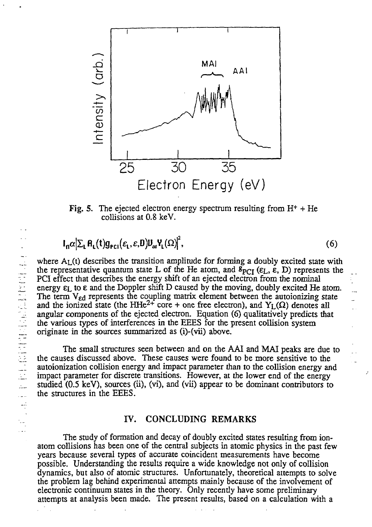

Fig. 5. The ejected electron energy spectrum resulting from  $H^+$  + He collisions at 0.8 keV.

$$
I_n \alpha \big| \Sigma_L \mathsf{R}_L(t) g_{\mathsf{PCI}}(\varepsilon_L, \varepsilon, 0) U_{\alpha} \mathsf{Y}_L(\Omega) \big|^2, \tag{6}
$$

where  $A_L(t)$  describes the transition amplitude for forming a doubly excited state with the representative quantum state L of the He atom, and  $s_{\text{PCT}}$  ( $\varepsilon_L$ ,  $\varepsilon$ , D) represents the PCI effect that describes the energy shift of an ejected electron from the nominal energy  $\varepsilon_L$  to  $\varepsilon$  and the Doppler shift D caused by the moving, doubly excited He atom. The term V<sub>ed</sub> represents the coupling matrix element between the autoionizing state and the ionized state (the HHe<sup>2+</sup> core + one free electron), and  $Y_L(\Omega)$  denotes all angular components of the ejected electron. Equation (6) qualitatively predicts that the various types of interferences in the EEES for the present collision system originate in the sources summarized as (i)-(vii) above.

The small structures *seen* between and on the AAI and MAI peaks are due to the causes discussed above. These causes were found to be more sensitive to the autoionization collision energy and impact parameter than to the collision energy and impact parameter for discrete transitions. However, at the lower end of the energy studied (0.5 keV), sources (ii), (vi), and (vii) appear to be dominant contributors to the structures in the EEES.

#### IV. CONCLUDING REMARKS

The study of formation and decay of doubly excited states resulting from ionatom collisions has been one of the central subjects in atomic physics in the past few years because several types of accurate coincident measurements have become possible. Understanding the results require a wide knowledge not only of collision dynamics, but also of atomic structures. Unfortunately, theoretical attempts to solve the problem lag behind experimental attempts mainly because of the involvement of electronic continuum states in the theory. Only recently have some preliminary attempts at analysis been made. The present results, based on a calculation with a